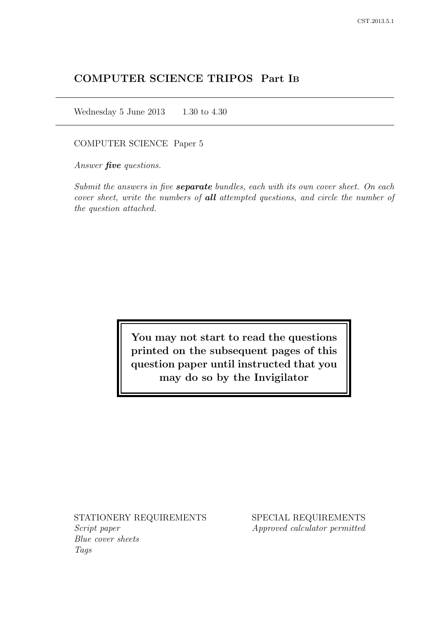# COMPUTER SCIENCE TRIPOS Part IB

Wednesday 5 June 2013  $1.30$  to 4.30

COMPUTER SCIENCE Paper 5

Answer *five* questions.

Submit the answers in five **separate** bundles, each with its own cover sheet. On each cover sheet, write the numbers of **all** attempted questions, and circle the number of the question attached.

> You may not start to read the questions printed on the subsequent pages of this question paper until instructed that you may do so by the Invigilator

STATIONERY REQUIREMENTS Script paper Blue cover sheets

Tags

SPECIAL REQUIREMENTS Approved calculator permitted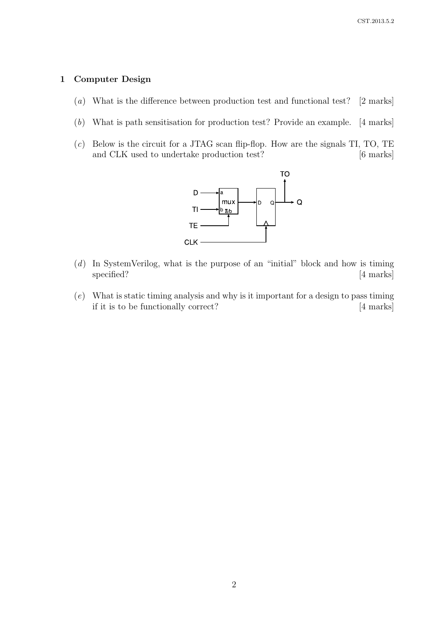#### 1 Computer Design

- (a) What is the difference between production test and functional test? [2 marks]
- (b) What is path sensitisation for production test? Provide an example. [4 marks]
- $(c)$  Below is the circuit for a JTAG scan flip-flop. How are the signals TI, TO, TE and CLK used to undertake production test? [6 marks]



- (d) In SystemVerilog, what is the purpose of an "initial" block and how is timing specified? [4 marks]
- (e) What is static timing analysis and why is it important for a design to pass timing if it is to be functionally correct? [4 marks]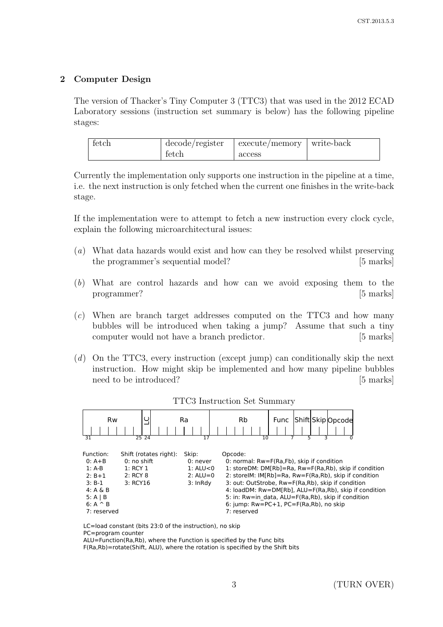# 2 Computer Design

The version of Thacker's Tiny Computer 3 (TTC3) that was used in the 2012 ECAD Laboratory sessions (instruction set summary is below) has the following pipeline stages:

| tetch | decode/register | execute/memory | ∣ write-back |
|-------|-----------------|----------------|--------------|
|       | tetch           | access         |              |

Currently the implementation only supports one instruction in the pipeline at a time, i.e. the next instruction is only fetched when the current one finishes in the write-back stage.

If the implementation were to attempt to fetch a new instruction every clock cycle, explain the following microarchitectural issues:

- (a) What data hazards would exist and how can they be resolved whilst preserving the programmer's sequential model? [5 marks]
- (b) What are control hazards and how can we avoid exposing them to the programmer? [5 marks]
- (c) When are branch target addresses computed on the TTC3 and how many bubbles will be introduced when taking a jump? Assume that such a tiny computer would not have a branch predictor. [5 marks]
- (d) On the TTC3, every instruction (except jump) can conditionally skip the next instruction. How might skip be implemented and how many pipeline bubbles need to be introduced? [5 marks]

| <b>Rw</b><br>31 | 25 24                  | Ra<br>$\overline{17}$ | Shift Skip Opcode<br><b>Rb</b><br><b>Func</b><br>10   |  |
|-----------------|------------------------|-----------------------|-------------------------------------------------------|--|
| Function:       | Shift (rotates right): | Skip:                 | Opcode:                                               |  |
| $0: A + B$      | 0: no shift            | 0: never              | 0: normal: Rw=F(Ra,Fb), skip if condition             |  |
| $1: A-B$        | 1:RCY1                 | $1:$ ALU $<$ 0        | 1: storeDM: DM[Rb]=Ra, Rw=F(Ra,Rb), skip if condition |  |
| $2: B+1$        | 2:RCY8                 | $2: ALU = 0$          | 2: storelM: IM[Rb]=Ra, Rw=F(Ra,Rb), skip if condition |  |
| $3: B-1$        | 3: RCY16               | 3: InRdy              | 3: out: OutStrobe, Rw=F(Ra,Rb), skip if condition     |  |
| $4: A \& B$     |                        |                       | 4: loadDM: Rw=DM[Rb], ALU=F(Ra,Rb), skip if condition |  |
| $5: A \mid B$   |                        |                       | 5: in: Rw=in data, ALU=F(Ra,Rb), skip if condition    |  |
| $6: A \wedge B$ |                        |                       | 6: jump: $Rw = PC + 1$ , $PC = F(Ra, Rb)$ , no skip   |  |
| 7: reserved     |                        |                       | 7: reserved                                           |  |

#### TTC3 Instruction Set Summary

LC=load constant (bits 23:0 of the instruction), no skip

PC=program counter

ALU=Function(Ra,Rb), where the Function is specified by the Func bits F(Ra,Rb)=rotate(Shift, ALU), where the rotation is specified by the Shift bits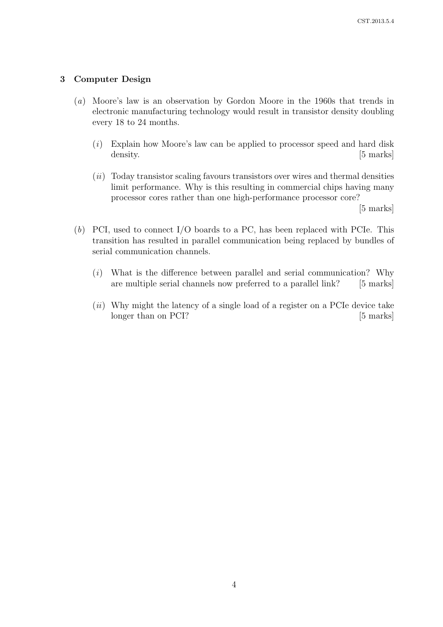#### 3 Computer Design

- (a) Moore's law is an observation by Gordon Moore in the 1960s that trends in electronic manufacturing technology would result in transistor density doubling every 18 to 24 months.
	- $(i)$  Explain how Moore's law can be applied to processor speed and hard disk density. [5 marks]
	- $(ii)$  Today transistor scaling favours transistors over wires and thermal densities limit performance. Why is this resulting in commercial chips having many processor cores rather than one high-performance processor core?

[5 marks]

- (b) PCI, used to connect I/O boards to a PC, has been replaced with PCIe. This transition has resulted in parallel communication being replaced by bundles of serial communication channels.
	- (i) What is the difference between parallel and serial communication? Why are multiple serial channels now preferred to a parallel link? [5 marks]
	- $(ii)$  Why might the latency of a single load of a register on a PCIe device take longer than on PCI? [5 marks]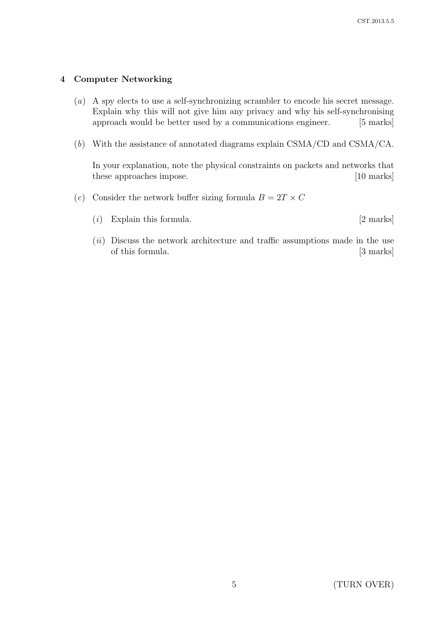#### 4 Computer Networking

- (a) A spy elects to use a self-synchronizing scrambler to encode his secret message. Explain why this will not give him any privacy and why his self-synchronising approach would be better used by a communications engineer. [5 marks]
- (b) With the assistance of annotated diagrams explain CSMA/CD and CSMA/CA.

In your explanation, note the physical constraints on packets and networks that these approaches impose. [10 marks]

- (c) Consider the network buffer sizing formula  $B = 2T \times C$ 
	- $(i)$  Explain this formula. [2 marks]
	- $(ii)$  Discuss the network architecture and traffic assumptions made in the use of this formula. [3 marks]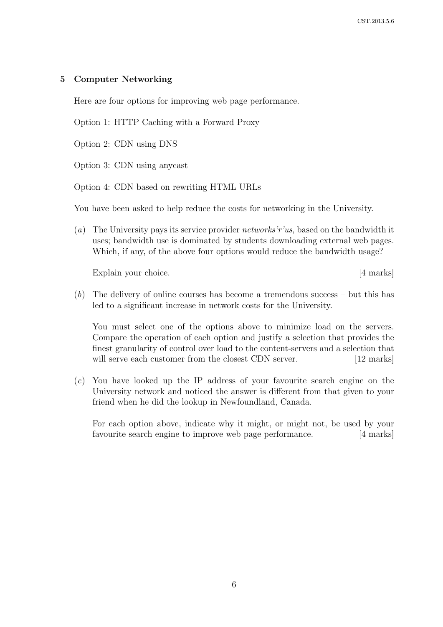#### 5 Computer Networking

Here are four options for improving web page performance.

Option 1: HTTP Caching with a Forward Proxy

Option 2: CDN using DNS

Option 3: CDN using anycast

Option 4: CDN based on rewriting HTML URLs

You have been asked to help reduce the costs for networking in the University.

(a) The University pays its service provider *networks'r'us*, based on the bandwidth it uses; bandwidth use is dominated by students downloading external web pages. Which, if any, of the above four options would reduce the bandwidth usage?

Explain your choice. [4 marks]

(b) The delivery of online courses has become a tremendous success – but this has led to a significant increase in network costs for the University.

You must select one of the options above to minimize load on the servers. Compare the operation of each option and justify a selection that provides the finest granularity of control over load to the content-servers and a selection that will serve each customer from the closest CDN server. [12 marks]

(c) You have looked up the IP address of your favourite search engine on the University network and noticed the answer is different from that given to your friend when he did the lookup in Newfoundland, Canada.

For each option above, indicate why it might, or might not, be used by your favourite search engine to improve web page performance. [4 marks]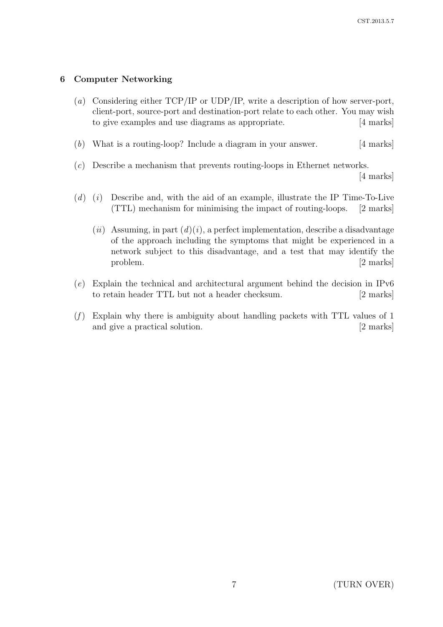# 6 Computer Networking

- (a) Considering either TCP/IP or UDP/IP, write a description of how server-port, client-port, source-port and destination-port relate to each other. You may wish to give examples and use diagrams as appropriate. [4 marks]
- (b) What is a routing-loop? Include a diagram in your answer. [4 marks]
- (c) Describe a mechanism that prevents routing-loops in Ethernet networks.

[4 marks]

- $(d)$  (i) Describe and, with the aid of an example, illustrate the IP Time-To-Live (TTL) mechanism for minimising the impact of routing-loops. [2 marks]
	- (ii) Assuming, in part  $(d)(i)$ , a perfect implementation, describe a disadvantage of the approach including the symptoms that might be experienced in a network subject to this disadvantage, and a test that may identify the problem. [2 marks]
- (e) Explain the technical and architectural argument behind the decision in IPv6 to retain header TTL but not a header checksum. [2 marks]
- $(f)$  Explain why there is ambiguity about handling packets with TTL values of 1 and give a practical solution. [2 marks]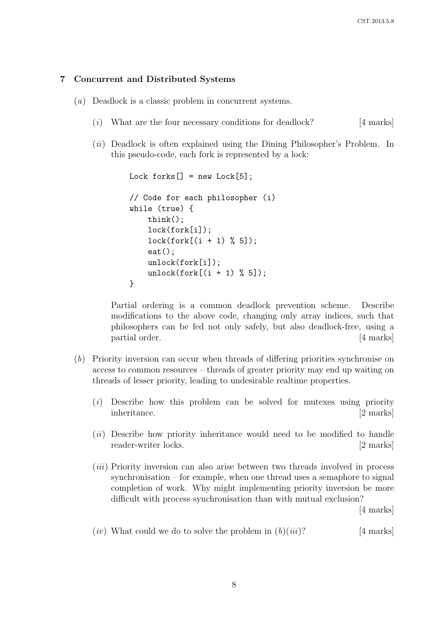#### 7 Concurrent and Distributed Systems

- (a) Deadlock is a classic problem in concurrent systems.
	- (i) What are the four necessary conditions for deadlock?  $[4 \text{ marks}]$
	- (ii) Deadlock is often explained using the Dining Philosopher's Problem. In this pseudo-code, each fork is represented by a lock:

```
Lock forks[] = new Lock[5];// Code for each philosopher (i)
while (true) {
    think();
    lock(fork[i]);
    lock(fork[(i + 1) % 5]);eat();
    unlock(fork[i]);
    unlock(fork[(i + 1) % 5]);}
```
Partial ordering is a common deadlock prevention scheme. Describe modifications to the above code, changing only array indices, such that philosophers can be fed not only safely, but also deadlock-free, using a partial order. [4 marks]

- (b) Priority inversion can occur when threads of differing priorities synchronise on access to common resources – threads of greater priority may end up waiting on threads of lesser priority, leading to undesirable realtime properties.
	- (i) Describe how this problem can be solved for mutexes using priority inheritance. [2 marks]
	- (*ii*) Describe how priority inheritance would need to be modified to handle reader-writer locks. [2 marks]
	- (iii) Priority inversion can also arise between two threads involved in process synchronisation – for example, when one thread uses a semaphore to signal completion of work. Why might implementing priority inversion be more difficult with process synchronisation than with mutual exclusion?

[4 marks]

(*iv*) What could we do to solve the problem in  $(b)(iii)$ ? [4 marks]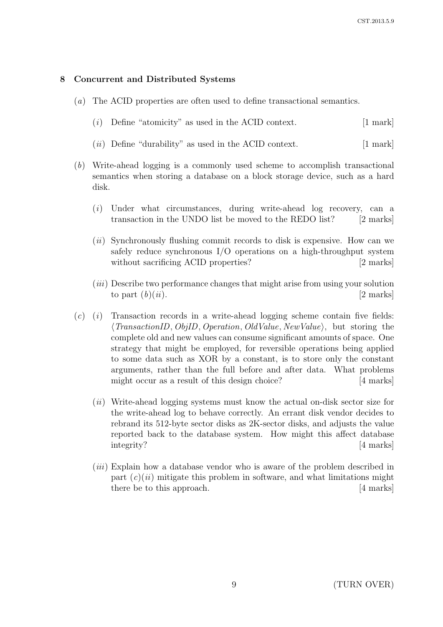#### 8 Concurrent and Distributed Systems

- (a) The ACID properties are often used to define transactional semantics.
	- $(i)$  Define "atomicity" as used in the ACID context.  $[1 \text{ mark}]$
	- $(ii)$  Define "durability" as used in the ACID context.  $[1 \text{ mark}]$
- (b) Write-ahead logging is a commonly used scheme to accomplish transactional semantics when storing a database on a block storage device, such as a hard disk.
	- (i) Under what circumstances, during write-ahead log recovery, can a transaction in the UNDO list be moved to the REDO list? [2 marks]
	- (*ii*) Synchronously flushing commit records to disk is expensive. How can we safely reduce synchronous I/O operations on a high-throughput system without sacrificing ACID properties? [2 marks]
	- $(iii)$  Describe two performance changes that might arise from using your solution to part  $(b)(ii)$ . [2 marks]
- $(c)$  (i) Transaction records in a write-ahead logging scheme contain five fields:  $\langle TransactionID, ObjID, Operation, OldValue, NewValue \rangle$ , but storing the complete old and new values can consume significant amounts of space. One strategy that might be employed, for reversible operations being applied to some data such as XOR by a constant, is to store only the constant arguments, rather than the full before and after data. What problems might occur as a result of this design choice? [4 marks]
	- $(ii)$  Write-ahead logging systems must know the actual on-disk sector size for the write-ahead log to behave correctly. An errant disk vendor decides to rebrand its 512-byte sector disks as 2K-sector disks, and adjusts the value reported back to the database system. How might this affect database integrity? [4 marks]
	- (*iii*) Explain how a database vendor who is aware of the problem described in part  $(c)(ii)$  mitigate this problem in software, and what limitations might there be to this approach. [4 marks]